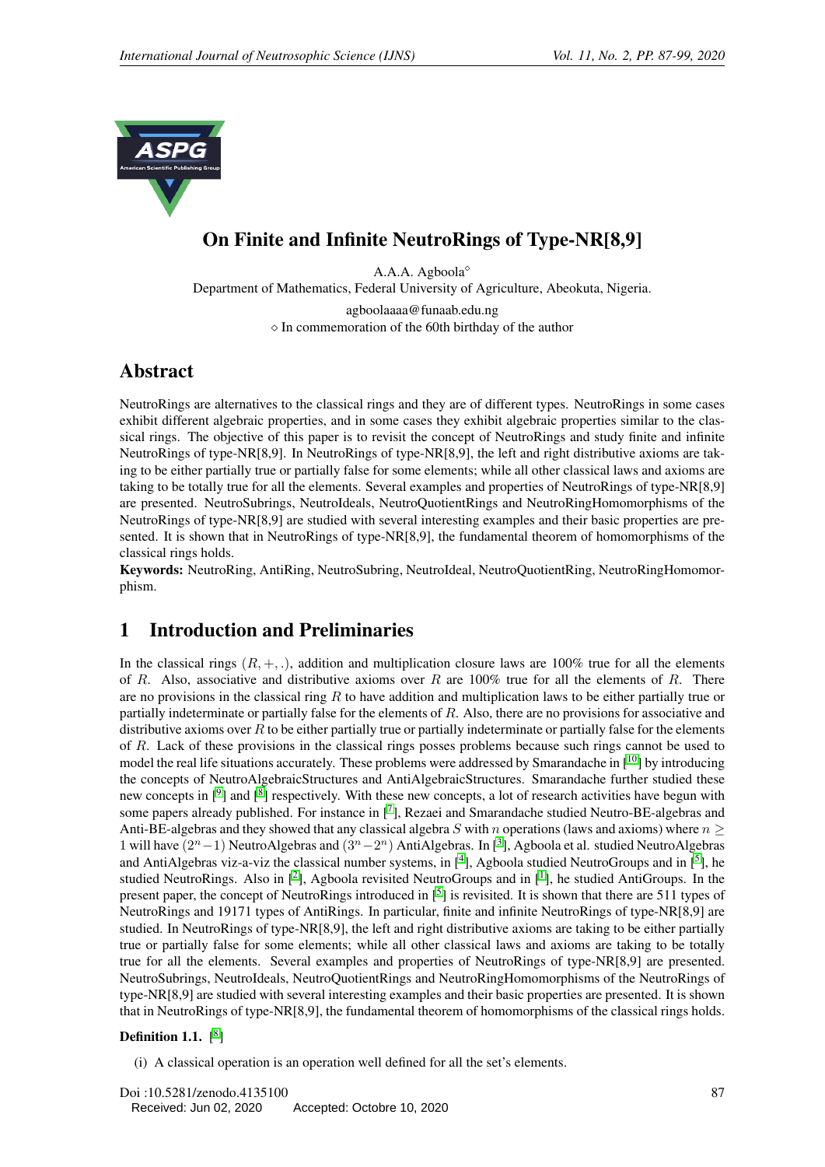

# On Finite and Infinite NeutroRings of Type-NR[8,9]

A.A.A. Agboola Department of Mathematics, Federal University of Agriculture, Abeokuta, Nigeria. agboolaaaa@funaab.edu.ng

 $\Diamond$  In commemoration of the 60th birthday of the author

# Abstract

NeutroRings are alternatives to the classical rings and they are of different types. NeutroRings in some cases exhibit different algebraic properties, and in some cases they exhibit algebraic properties similar to the classical rings. The objective of this paper is to revisit the concept of NeutroRings and study finite and infinite NeutroRings of type-NR[8,9]. In NeutroRings of type-NR[8,9], the left and right distributive axioms are taking to be either partially true or partially false for some elements; while all other classical laws and axioms are taking to be totally true for all the elements. Several examples and properties of NeutroRings of type-NR[8,9] are presented. NeutroSubrings, NeutroIdeals, NeutroQuotientRings and NeutroRingHomomorphisms of the NeutroRings of type-NR[8,9] are studied with several interesting examples and their basic properties are presented. It is shown that in NeutroRings of type-NR[8,9], the fundamental theorem of homomorphisms of the classical rings holds.

Keywords: NeutroRing, AntiRing, NeutroSubring, NeutroIdeal, NeutroQuotientRing, NeutroRingHomomorphism.

## 1 Introduction and Preliminaries

In the classical rings  $(R, +, \cdot)$ , addition and multiplication closure laws are 100% true for all the elements of R. Also, associative and distributive axioms over R are  $100\%$  true for all the elements of R. There are no provisions in the classical ring  $R$  to have addition and multiplication laws to be either partially true or partially indeterminate or partially false for the elements of R. Also, there are no provisions for associative and distributive axioms over  $R$  to be either partially true or partially indeterminate or partially false for the elements of R. Lack of these provisions in the classical rings posses problems because such rings cannot be used to model the real life situations accurately. These problems were addressed by Smarandache in  $[10]$  $[10]$  $[10]$  by introducing the concepts of NeutroAlgebraicStructures and AntiAlgebraicStructures. Smarandache further studied these new concepts in [<sup>[9](#page-12-1)</sup>] and [<sup>[8](#page-12-2)</sup>] respectively. With these new concepts, a lot of research activities have begun with some papers already published. For instance in [[7](#page-12-3)], Rezaei and Smarandache studied Neutro-BE-algebras and Anti-BE-algebras and they showed that any classical algebra S with n operations (laws and axioms) where  $n >$ 1 will have  $(2^{n}-1)$  NeutroAlgebras and  $(3^{n}-2^{n})$  $(3^{n}-2^{n})$  $(3^{n}-2^{n})$  AntiAlgebras. In [<sup>3</sup>], Agboola et al. studied NeutroAlgebras and AntiAlgebras viz-a-viz the classical number systems, in  $[4]$  $[4]$  $[4]$ , Agboola studied NeutroGroups and in  $[5]$  $[5]$  $[5]$ , he studied NeutroRings. Also in  $[2]$  $[2]$  $[2]$ , Agboola revisited NeutroGroups and in  $[1]$  $[1]$  $[1]$ , he studied AntiGroups. In the present paper, the concept of NeutroRings introduced in  $[5]$  $[5]$  $[5]$  is revisited. It is shown that there are 511 types of NeutroRings and 19171 types of AntiRings. In particular, finite and infinite NeutroRings of type-NR[8,9] are studied. In NeutroRings of type-NR[8,9], the left and right distributive axioms are taking to be either partially true or partially false for some elements; while all other classical laws and axioms are taking to be totally true for all the elements. Several examples and properties of NeutroRings of type-NR[8,9] are presented. NeutroSubrings, NeutroIdeals, NeutroQuotientRings and NeutroRingHomomorphisms of the NeutroRings of type-NR[8,9] are studied with several interesting examples and their basic properties are presented. It is shown that in NeutroRings of type-NR[8,9], the fundamental theorem of homomorphisms of the classical rings holds.

### Definition 1.1.  $[8]$  $[8]$  $[8]$

(i) A classical operation is an operation well defined for all the set's elements.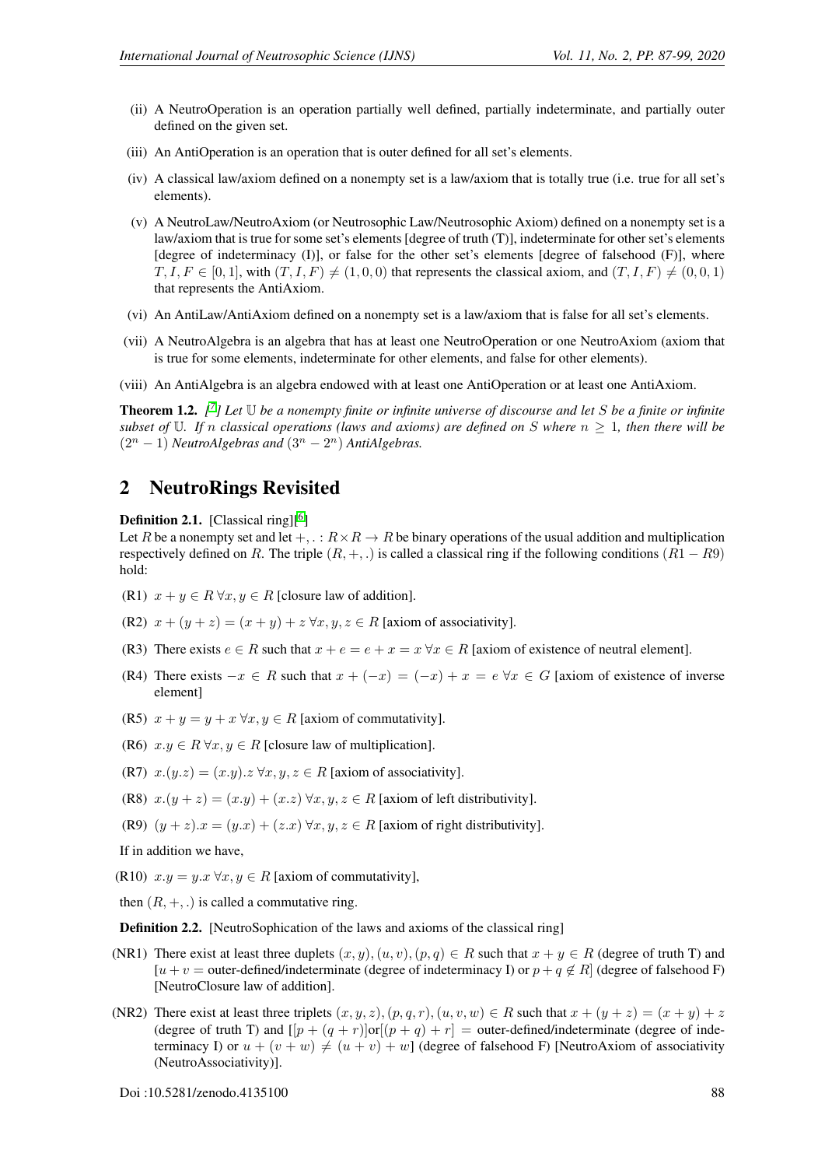- (ii) A NeutroOperation is an operation partially well defined, partially indeterminate, and partially outer defined on the given set.
- (iii) An AntiOperation is an operation that is outer defined for all set's elements.
- (iv) A classical law/axiom defined on a nonempty set is a law/axiom that is totally true (i.e. true for all set's elements).
- (v) A NeutroLaw/NeutroAxiom (or Neutrosophic Law/Neutrosophic Axiom) defined on a nonempty set is a law/axiom that is true for some set's elements [degree of truth (T)], indeterminate for other set's elements [degree of indeterminacy (I)], or false for the other set's elements [degree of falsehood (F)], where  $T, I, F \in [0, 1]$ , with  $(T, I, F) \neq (1, 0, 0)$  that represents the classical axiom, and  $(T, I, F) \neq (0, 0, 1)$ that represents the AntiAxiom.
- (vi) An AntiLaw/AntiAxiom defined on a nonempty set is a law/axiom that is false for all set's elements.
- (vii) A NeutroAlgebra is an algebra that has at least one NeutroOperation or one NeutroAxiom (axiom that is true for some elements, indeterminate for other elements, and false for other elements).
- (viii) An AntiAlgebra is an algebra endowed with at least one AntiOperation or at least one AntiAxiom.

<span id="page-1-0"></span>Theorem 1.2. *[ [7](#page-12-3) ] Let* U *be a nonempty finite or infinite universe of discourse and let* S *be a finite or infinite subset of* U. If n classical operations (laws and axioms) are defined on S where  $n \geq 1$ , then there will be  $(2^{n} - 1)$  *NeutroAlgebras and*  $(3^{n} - 2^{n})$  *AntiAlgebras.* 

### 2 NeutroRings Revisited

**Definition 2.1.** [Classical ring] $[6]$  $[6]$  $[6]$ 

Let R be a nonempty set and let  $+, \, : R \times R \to R$  be binary operations of the usual addition and multiplication respectively defined on R. The triple  $(R, +, \cdot)$  is called a classical ring if the following conditions  $(R1 - R9)$ hold:

- (R1)  $x + y \in R \forall x, y \in R$  [closure law of addition].
- (R2)  $x + (y + z) = (x + y) + z \forall x, y, z \in R$  [axiom of associativity].
- (R3) There exists  $e \in R$  such that  $x + e = e + x = x \forall x \in R$  [axiom of existence of neutral element].
- (R4) There exists  $-x \in R$  such that  $x + (-x) = (-x) + x = e \forall x \in G$  [axiom of existence of inverse element]
- (R5)  $x + y = y + x \forall x, y \in R$  [axiom of commutativity].
- (R6)  $x.y \in R \forall x, y \in R$  [closure law of multiplication].
- (R7)  $x.(y.z) = (x.y).z \forall x, y, z \in R$  [axiom of associativity].
- (R8)  $x.(y + z) = (x.y) + (x.z) \,\forall x, y, z \in R$  [axiom of left distributivity].
- (R9)  $(y + z)x = (y \cdot x) + (z \cdot x) \forall x, y, z \in R$  [axiom of right distributivity].

If in addition we have,

- (R10)  $x.y = y.x \forall x, y \in R$  [axiom of commutativity],
- then  $(R, +, .)$  is called a commutative ring.

<span id="page-1-1"></span>Definition 2.2. [NeutroSophication of the laws and axioms of the classical ring]

- (NR1) There exist at least three duplets  $(x, y), (u, v), (p, q) \in R$  such that  $x + y \in R$  (degree of truth T) and [u + v = outer-defined/indeterminate (degree of indeterminacy I) or  $p + q \notin R$ ] (degree of falsehood F) [NeutroClosure law of addition].
- (NR2) There exist at least three triplets  $(x, y, z), (p, q, r), (u, v, w) \in R$  such that  $x + (y + z) = (x + y) + z$ (degree of truth T) and  $[|p + (q + r)|\text{or}|(p + q) + r] =$  outer-defined/indeterminate (degree of indeterminacy I) or  $u + (v + w) \neq (u + v) + w$ ] (degree of falsehood F) [NeutroAxiom of associativity (NeutroAssociativity)].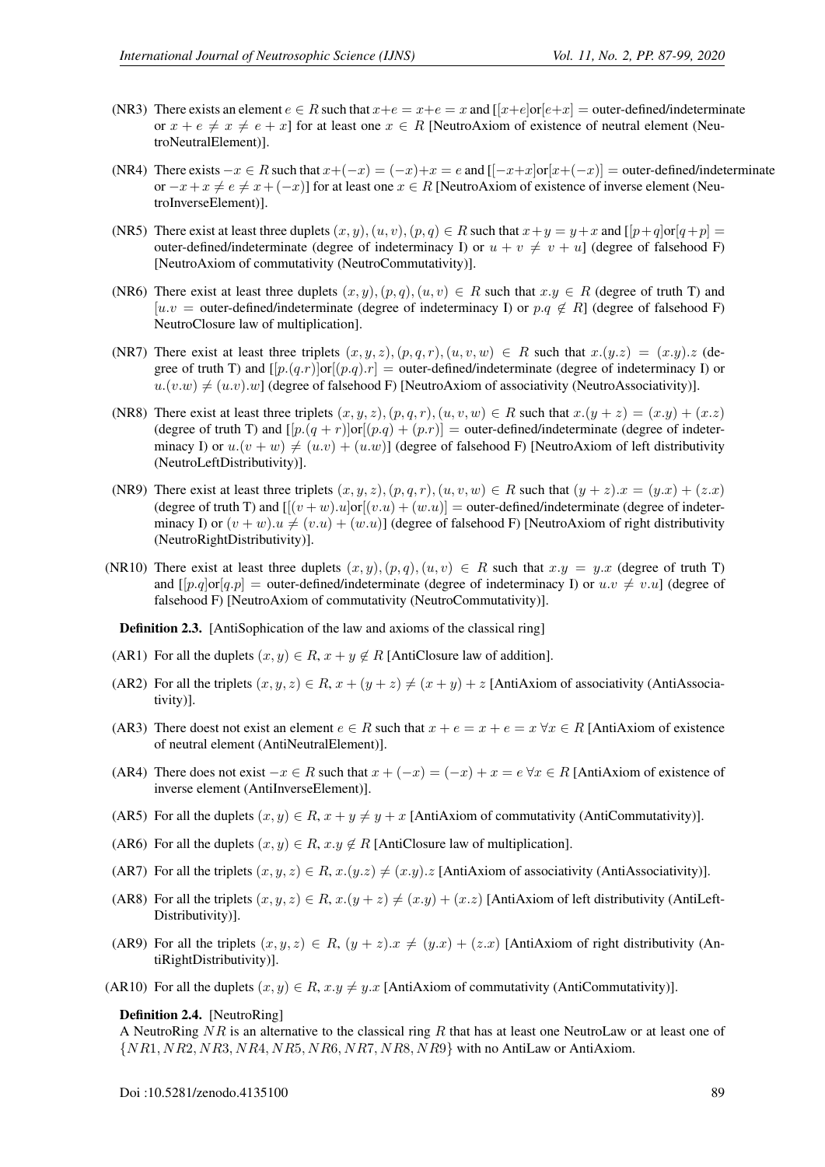- (NR3) There exists an element  $e \in R$  such that  $x+e = x+e = x$  and  $[x+e]$  or  $[e+x] =$  outer-defined/indeterminate or  $x + e \neq x \neq e + x$ ] for at least one  $x \in R$  [NeutroAxiom of existence of neutral element (NeutroNeutralElement)].
- (NR4) There exists  $-x \in R$  such that  $x+(-x) = (-x)+x = e$  and  $[-x+x]\text{or}[x+(-x)] =$  outer-defined/indeterminate or  $-x+x \neq e \neq x+(-x)$  for at least one  $x \in R$  [NeutroAxiom of existence of inverse element (NeutroInverseElement)].
- (NR5) There exist at least three duplets  $(x, y)$ ,  $(u, v)$ ,  $(p, q) \in R$  such that  $x + y = y + x$  and  $[ [p+q] \text{or} [q+p] =$ outer-defined/indeterminate (degree of indeterminacy I) or  $u + v \neq v + u$ ] (degree of falsehood F) [NeutroAxiom of commutativity (NeutroCommutativity)].
- (NR6) There exist at least three duplets  $(x, y), (p, q), (u, v) \in R$  such that  $x, y \in R$  (degree of truth T) and [u.v = outer-defined/indeterminate (degree of indeterminacy I) or  $p.q \notin R$ ] (degree of falsehood F) NeutroClosure law of multiplication].
- (NR7) There exist at least three triplets  $(x, y, z), (p, q, r), (u, v, w) \in R$  such that  $x.(y.z) = (x.y).z$  (degree of truth T) and  $[ [p.(q.r)]$ or $[ (p.q).r] =$  outer-defined/indeterminate (degree of indeterminacy I) or  $u.(v.w) \neq (u.v).w$ ] (degree of falsehood F) [NeutroAxiom of associativity (NeutroAssociativity)].
- (NR8) There exist at least three triplets  $(x, y, z), (p, q, r), (u, v, w) \in R$  such that  $x.(y + z) = (x.y) + (x.z)$ (degree of truth T) and  $[[p.(q + r)]or[(p.q) + (p.r)] =$  outer-defined/indeterminate (degree of indeterminacy I) or  $u.(v + w) \neq (u.v) + (u.w))$  (degree of falsehood F) [NeutroAxiom of left distributivity (NeutroLeftDistributivity)].
- (NR9) There exist at least three triplets  $(x, y, z), (p, q, r), (u, v, w) \in R$  such that  $(y + z)x = (y.x) + (z.x)$ (degree of truth T) and  $[[(v+w).u]\text{or}[(v.u)+(w.u)] = \text{outer-defined/indeterminate}$  (degree of indeterminacy I) or  $(v + w) \cdot u \neq (v \cdot u) + (w \cdot u)$  (degree of falsehood F) [NeutroAxiom of right distributivity (NeutroRightDistributivity)].
- (NR10) There exist at least three duplets  $(x, y), (p, q), (u, v) \in R$  such that  $x \cdot y = y \cdot x$  (degree of truth T) and  $[|p,q]\text{or}|q,p]$  = outer-defined/indeterminate (degree of indeterminacy I) or  $u.v \neq v.u$  (degree of falsehood F) [NeutroAxiom of commutativity (NeutroCommutativity)].

Definition 2.3. [AntiSophication of the law and axioms of the classical ring]

- (AR1) For all the duplets  $(x, y) \in R$ ,  $x + y \notin R$  [AntiClosure law of addition].
- (AR2) For all the triplets  $(x, y, z) \in R$ ,  $x + (y + z) \neq (x + y) + z$  [AntiAxiom of associativity (AntiAssociativity)].
- (AR3) There doest not exist an element  $e \in R$  such that  $x + e = x + e = x \forall x \in R$  [AntiAxiom of existence of neutral element (AntiNeutralElement)].
- (AR4) There does not exist  $-x \in R$  such that  $x + (-x) = (-x) + x = e \,\forall x \in R$  [AntiAxiom of existence of inverse element (AntiInverseElement)].
- (AR5) For all the duplets  $(x, y) \in R$ ,  $x + y \neq y + x$  [AntiAxiom of commutativity (AntiCommutativity)].
- (AR6) For all the duplets  $(x, y) \in R$ ,  $x, y \notin R$  [AntiClosure law of multiplication].
- (AR7) For all the triplets  $(x, y, z) \in R$ ,  $x.(y.z) \neq (x.y).z$  [AntiAxiom of associativity (AntiAssociativity)].
- (AR8) For all the triplets  $(x, y, z) \in R$ ,  $x.(y + z) \neq (x.y) + (x.z)$  [AntiAxiom of left distributivity (AntiLeft-Distributivity)].
- (AR9) For all the triplets  $(x, y, z) \in R$ ,  $(y + z)x \neq (y.x) + (z.x)$  [AntiAxiom of right distributivity (AntiRightDistributivity)].
- (AR10) For all the duplets  $(x, y) \in R$ ,  $x, y \neq y$ . *x* [AntiAxiom of commutativity (AntiCommutativity)].

#### Definition 2.4. [NeutroRing]

A NeutroRing  $NR$  is an alternative to the classical ring R that has at least one NeutroLaw or at least one of  $\{NR1, NR2, NR3, NR4, NR5, NR6, NR7, NR8, NR9\}$  with no AntiLaw or AntiAxiom.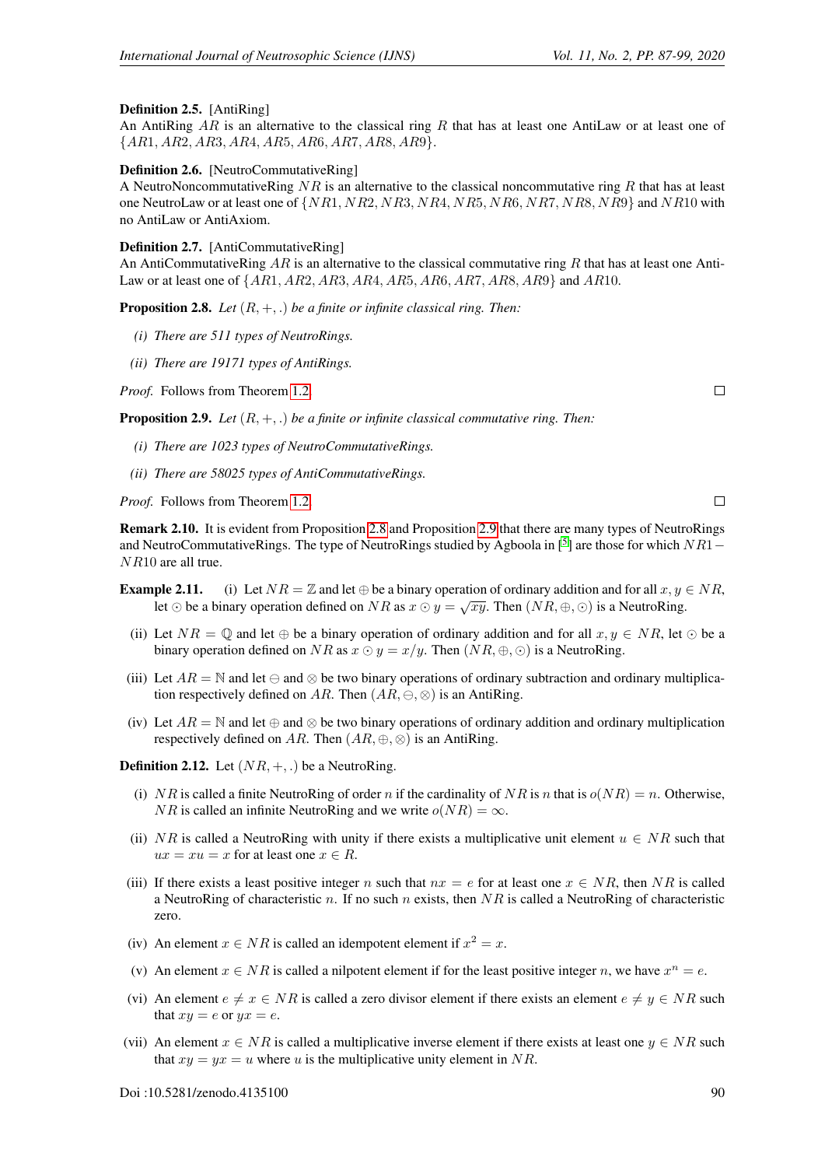#### Definition 2.5. [AntiRing]

An AntiRing  $AR$  is an alternative to the classical ring R that has at least one AntiLaw or at least one of {AR1, AR2, AR3, AR4, AR5, AR6, AR7, AR8, AR9}.

#### <span id="page-3-2"></span>Definition 2.6. [NeutroCommutativeRing]

A NeutroNoncommutativeRing  $NR$  is an alternative to the classical noncommutative ring R that has at least one NeutroLaw or at least one of  $\{NR1, NR2, NR3, NR4, NR5, NR6, NR7, NR8, NR9\}$  and  $NR10$  with no AntiLaw or AntiAxiom.

#### Definition 2.7. [AntiCommutativeRing]

An AntiCommutativeRing  $AR$  is an alternative to the classical commutative ring R that has at least one Anti-Law or at least one of  $\{AR1, AR2, AR3, AR4, AR5, AR6, AR7, AR8, AR9\}$  and  $AR10$ .

<span id="page-3-0"></span>Proposition 2.8. *Let* (R, +, .) *be a finite or infinite classical ring. Then:*

- *(i) There are 511 types of NeutroRings.*
- *(ii) There are 19171 types of AntiRings.*

*Proof.* Follows from Theorem [1.2.](#page-1-0)

<span id="page-3-1"></span>Proposition 2.9. *Let* (R, +, .) *be a finite or infinite classical commutative ring. Then:*

- *(i) There are 1023 types of NeutroCommutativeRings.*
- *(ii) There are 58025 types of AntiCommutativeRings.*

*Proof.* Follows from Theorem [1.2.](#page-1-0)

Remark 2.10. It is evident from Proposition [2.8](#page-3-0) and Proposition [2.9](#page-3-1) that there are many types of NeutroRings and NeutroCommutativeRings. The type of NeutroRings studied by Agboola in [<sup>[5](#page-12-6)</sup>] are those for which  $NR1-$ NR10 are all true.

- **Example 2.11.** (i) Let  $NR = \mathbb{Z}$  and let  $\oplus$  be a binary operation of ordinary addition and for all  $x, y \in NR$ , **PHE 2.11.** (1) Let  $N H = \mathbb{Z}$  and let  $\oplus$  be a binary operation of ordinary addition and for an  $x, y$ .<br>Let  $\odot$  be a binary operation defined on  $NR$  as  $x \odot y = \sqrt{xy}$ . Then  $(NR, \oplus, \odot)$  is a NeutroRing.
	- (ii) Let  $NR = \mathbb{O}$  and let  $\oplus$  be a binary operation of ordinary addition and for all  $x, y \in NR$ , let  $\odot$  be a binary operation defined on NR as  $x \odot y = x/y$ . Then  $(NR, \oplus, \odot)$  is a NeutroRing.
	- (iii) Let  $AR = \mathbb{N}$  and let  $\ominus$  and  $\otimes$  be two binary operations of ordinary subtraction and ordinary multiplication respectively defined on AR. Then  $(AR, \ominus, \otimes)$  is an AntiRing.
	- (iv) Let  $AR = \mathbb{N}$  and let  $\oplus$  and  $\otimes$  be two binary operations of ordinary addition and ordinary multiplication respectively defined on AR. Then  $(AR, \oplus, \otimes)$  is an AntiRing.

**Definition 2.12.** Let  $(NR, +, .)$  be a NeutroRing.

- (i) NR is called a finite NeutroRing of order n if the cardinality of NR is n that is  $o(NR) = n$ . Otherwise, *NR* is called an infinite NeutroRing and we write  $o(NR) = \infty$ .
- (ii) NR is called a NeutroRing with unity if there exists a multiplicative unit element  $u \in NR$  such that  $ux = xu = x$  for at least one  $x \in R$ .
- (iii) If there exists a least positive integer n such that  $nx = e$  for at least one  $x \in NR$ , then NR is called a NeutroRing of characteristic n. If no such n exists, then  $NR$  is called a NeutroRing of characteristic zero.
- (iv) An element  $x \in NR$  is called an idempotent element if  $x^2 = x$ .
- (v) An element  $x \in NR$  is called a nilpotent element if for the least positive integer n, we have  $x^n = e$ .
- (vi) An element  $e \neq x \in NR$  is called a zero divisor element if there exists an element  $e \neq y \in NR$  such that  $xy = e$  or  $yx = e$ .
- (vii) An element  $x \in NR$  is called a multiplicative inverse element if there exists at least one  $y \in NR$  such that  $xy = yx = u$  where u is the multiplicative unity element in NR.

 $\Box$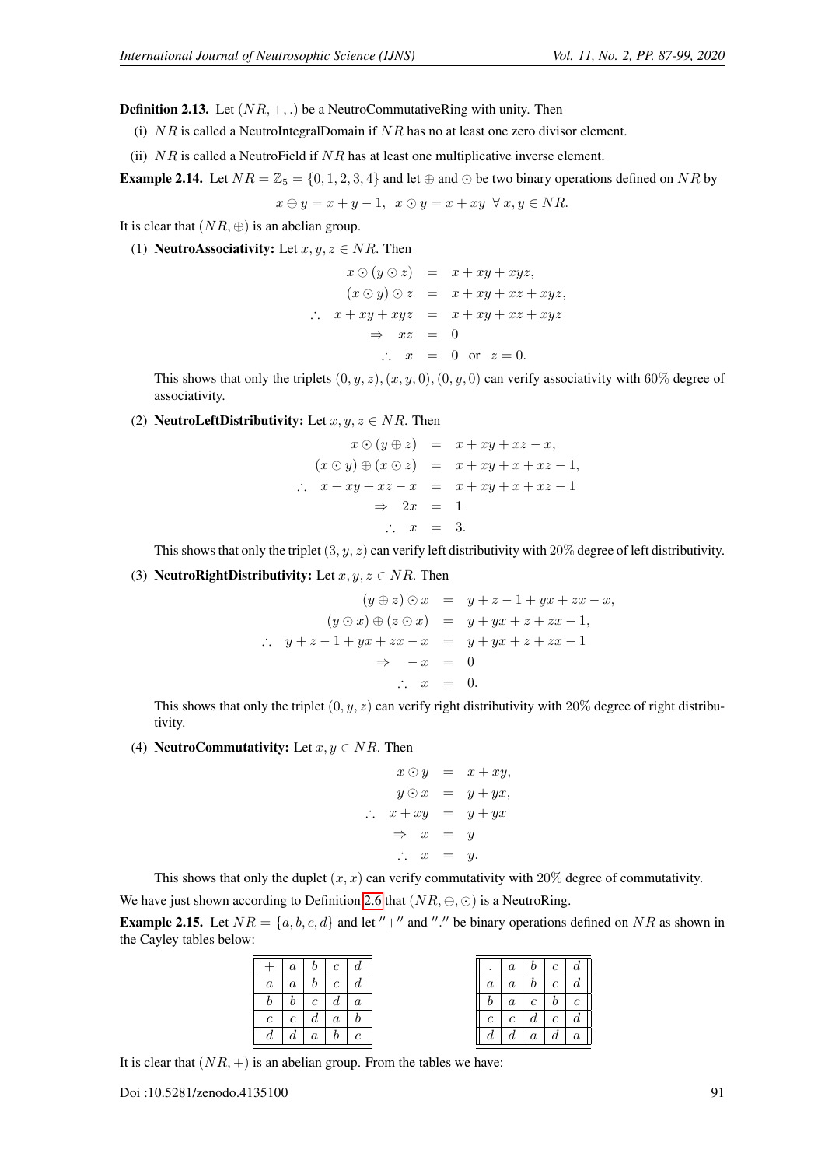**Definition 2.13.** Let  $(NR, +, \cdot)$  be a NeutroCommutativeRing with unity. Then

(i)  $NR$  is called a NeutroIntegralDomain if  $NR$  has no at least one zero divisor element.

(ii)  $NR$  is called a NeutroField if  $NR$  has at least one multiplicative inverse element.

**Example 2.14.** Let  $NR = \mathbb{Z}_5 = \{0, 1, 2, 3, 4\}$  and let  $\oplus$  and  $\odot$  be two binary operations defined on NR by

$$
x \oplus y = x + y - 1, \ x \odot y = x + xy \ \forall x, y \in NR.
$$

It is clear that  $(NR, \oplus)$  is an abelian group.

(1) **NeutroAssociativity:** Let  $x, y, z \in NR$ . Then

$$
x \odot (y \odot z) = x + xy + xyz,
$$
  
\n
$$
(x \odot y) \odot z = x + xy + xz + xyz,
$$
  
\n
$$
\therefore x + xy + xyz = x + xy + xz + xyz
$$
  
\n
$$
\Rightarrow xz = 0
$$
  
\n
$$
\therefore x = 0 \text{ or } z = 0.
$$

This shows that only the triplets  $(0, y, z), (x, y, 0), (0, y, 0)$  can verify associativity with 60% degree of associativity.

(2) **NeutroLeftDistributivity:** Let  $x, y, z \in NR$ . Then

$$
x \odot (y \oplus z) = x + xy + xz - x,
$$
  
\n
$$
(x \odot y) \oplus (x \odot z) = x + xy + x + xz - 1,
$$
  
\n
$$
\therefore x + xy + xz - x = x + xy + x + xz - 1
$$
  
\n
$$
\Rightarrow 2x = 1
$$
  
\n
$$
\therefore x = 3.
$$

This shows that only the triplet  $(3, y, z)$  can verify left distributivity with 20% degree of left distributivity.

(3) **NeutroRightDistributivity:** Let  $x, y, z \in NR$ . Then

$$
(y \oplus z) \odot x = y + z - 1 + yx + zx - x,
$$
  
\n
$$
(y \odot x) \oplus (z \odot x) = y + yx + z + zx - 1,
$$
  
\n
$$
\therefore y + z - 1 + yx + zx - x = y + yx + z + zx - 1
$$
  
\n
$$
\Rightarrow -x = 0
$$
  
\n
$$
\therefore x = 0.
$$

This shows that only the triplet  $(0, y, z)$  can verify right distributivity with 20% degree of right distributivity.

(4) **NeutroCommutativity:** Let  $x, y \in NR$ . Then

$$
x \odot y = x + xy,
$$
  
\n
$$
y \odot x = y + yx,
$$
  
\n
$$
\therefore x + xy = y + yx
$$
  
\n
$$
\Rightarrow x = y
$$
  
\n
$$
\therefore x = y.
$$

This shows that only the duplet  $(x, x)$  can verify commutativity with 20% degree of commutativity.

We have just shown according to Definition [2.6](#page-3-2) that  $(NR, \oplus, \odot)$  is a NeutroRing.

<span id="page-4-0"></span>**Example 2.15.** Let  $NR = \{a, b, c, d\}$  and let "+" and "." be binary operations defined on NR as shown in the Cayley tables below:

|                | $\boldsymbol{a}$ |                | $b \mid c \mid$   | $\mathfrak{a}$   | $\cdot$       | $\it a$          | b <sub>1</sub> | $\mathfrak{c}$ | $\boldsymbol{a}$ |
|----------------|------------------|----------------|-------------------|------------------|---------------|------------------|----------------|----------------|------------------|
| $\overline{a}$ | $\boldsymbol{a}$ |                | $b \mid c$        | d                | $\it a$       | $\it a$          | $\mathfrak{b}$ | $\mathfrak{c}$ | $\boldsymbol{a}$ |
|                | $\mathfrak{b}$   | $\mathfrak{c}$ | $d_{\mathcal{A}}$ | $\boldsymbol{a}$ | b.            | $\boldsymbol{a}$ | $\mathfrak{c}$ | $\mathfrak{b}$ | $\mathfrak{c}$   |
| с              | $\mathfrak c$    | d              | $\boldsymbol{a}$  | b                | $\mathcal{C}$ | $\mathfrak{c}$   | $d_{-}$        | $\mathfrak{c}$ | $\boldsymbol{d}$ |
| d              | $\mathfrak{a}$   | $\mathfrak{a}$ | b                 | $\mathcal{C}$    | d             | d                | $\it a$        | d              | $\boldsymbol{a}$ |

It is clear that  $(NR, +)$  is an abelian group. From the tables we have: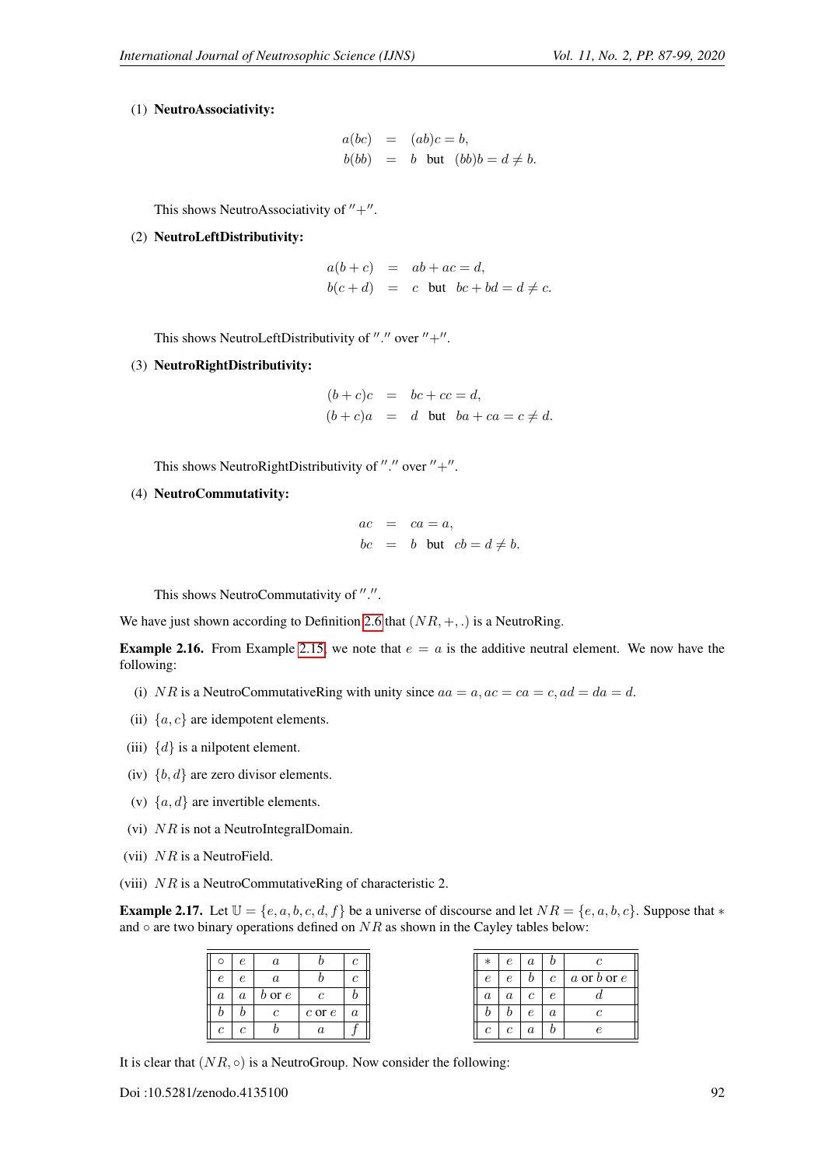#### (1) NeutroAssociativity:

$$
a(bc) = (ab)c = b,
$$
  

$$
b(bb) = b \text{ but } (bb)b = d \neq b.
$$

This shows NeutroAssociativity of  $''+$ ".

(2) NeutroLeftDistributivity:

$$
a(b+c) = ab + ac = d,
$$
  

$$
b(c+d) = c \text{ but } bc + bd = d \neq c.
$$

This shows NeutroLeftDistributivity of "." over  $"+''.$ 

(3) NeutroRightDistributivity:

 $(b + c)c = bc + cc = d,$  $(b+c)a = d$  but  $ba + ca = c \neq d$ .

This shows NeutroRightDistributivity of "." over  $"+'$ .

(4) NeutroCommutativity:

$$
ac = ca = a,
$$
  

$$
bc = b \text{ but } cb = d \neq b.
$$

This shows NeutroCommutativity of ".".

We have just shown according to Definition [2.6](#page-3-2) that  $(NR, +, .)$  is a NeutroRing.

**Example 2.16.** From Example [2.15,](#page-4-0) we note that  $e = a$  is the additive neutral element. We now have the following:

- (i) NR is a NeutroCommutativeRing with unity since  $aa = a$ ,  $ac = ca = c$ ,  $ad = da = d$ .
- (ii)  $\{a, c\}$  are idempotent elements.
- (iii)  $\{d\}$  is a nilpotent element.
- (iv)  $\{b, d\}$  are zero divisor elements.
- (v)  $\{a, d\}$  are invertible elements.
- (vi)  $NR$  is not a NeutroIntegralDomain.
- (vii)  $NR$  is a NeutroField.
- (viii) NR is a NeutroCommutativeRing of characteristic 2.

**Example 2.17.** Let  $\mathbb{U} = \{e, a, b, c, d, f\}$  be a universe of discourse and let  $NR = \{e, a, b, c\}$ . Suppose that  $*$ and  $\circ$  are two binary operations defined on  $NR$  as shown in the Cayley tables below:

| ∩                | $\epsilon$       | $\boldsymbol{a}$ |                  | $\mathfrak c$    |
|------------------|------------------|------------------|------------------|------------------|
| $\epsilon$       | $\epsilon$       | $\boldsymbol{a}$ |                  | с                |
| $\boldsymbol{a}$ | $\boldsymbol{a}$ | $b$ or $e$       | $\mathfrak c$    | v                |
|                  |                  | $\mathfrak c$    | $c$ or $e$       | $\boldsymbol{a}$ |
| C                | $\mathfrak c$    |                  | $\boldsymbol{a}$ |                  |

It is clear that  $(NR, \circ)$  is a NeutroGroup. Now consider the following: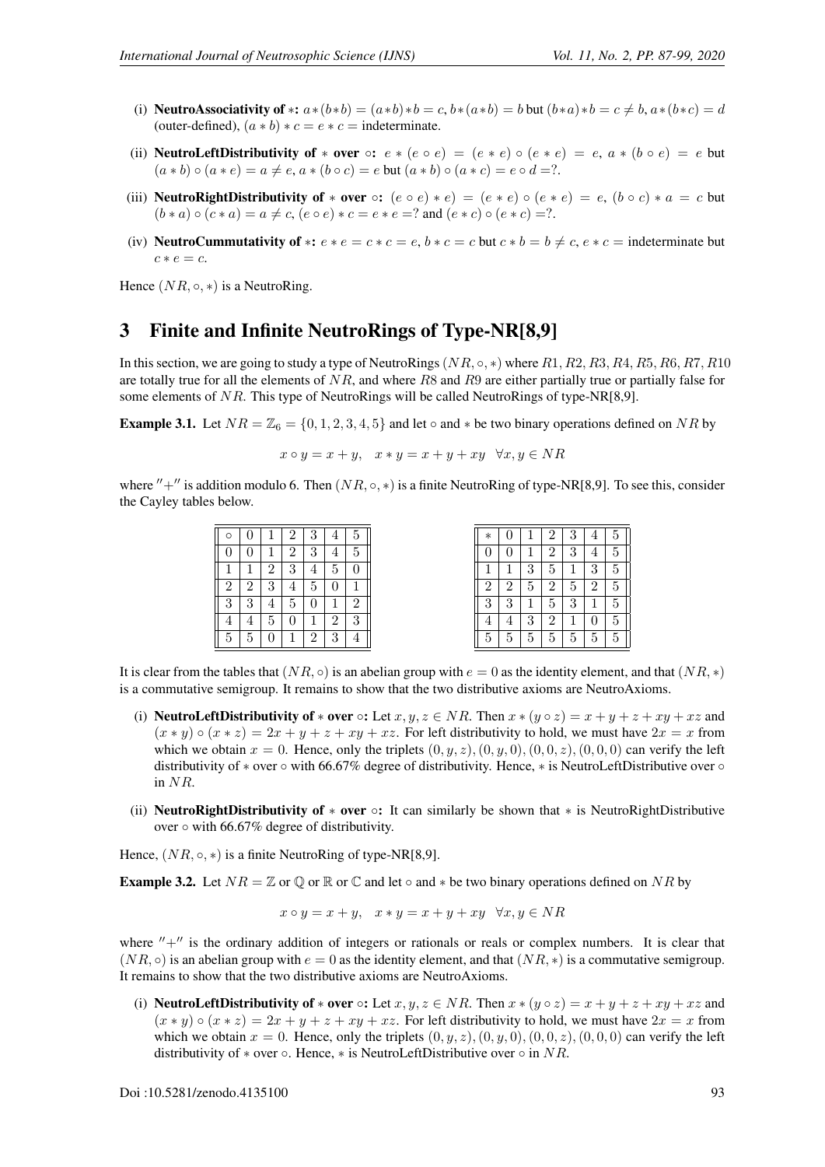- (i) NeutroAssociativity of \*:  $a*(b*b) = (a*b)*b = c$ ,  $b*(a*b) = b$  but  $(b*a)*b = c \neq b$ ,  $a*(b*c) = d$ (outer-defined),  $(a * b) * c = e * c =$  indeterminate.
- (ii) **NeutroLeftDistributivity of** \* **over**  $\circ$ :  $e * (e \circ e) = (e * e) \circ (e * e) = e$ ,  $a * (b \circ e) = e$  but  $(a * b) \circ (a * e) = a \neq e, a * (b \circ c) = e$  but  $(a * b) \circ (a * c) = e \circ d = ?$ .
- (iii) **NeutroRightDistributivity of \* over**  $\circ$ :  $(e \circ e) * e$ ) =  $(e * e) \circ (e * e) = e$ ,  $(b \circ c) * a = c$  but  $(b * a) \circ (c * a) = a \neq c, (e \circ e) * c = e * e = ?$  and  $(e * c) \circ (e * c) = ?$ .
- (iv) **NeutroCummutativity of** \*:  $e * e = c * c = e$ ,  $b * c = c$  but  $c * b = b \neq c$ ,  $e * c =$  indeterminate but  $c * e = c$ .

Hence  $(NR, \circ, *)$  is a NeutroRing.

### 3 Finite and Infinite NeutroRings of Type-NR[8,9]

In this section, we are going to study a type of NeutroRings ( $NR$ ,  $\circ$ ,  $\ast$ ) where  $R1, R2, R3, R4, R5, R6, R7, R10$ are totally true for all the elements of  $NR$ , and where  $RS$  and  $R9$  are either partially true or partially false for some elements of NR. This type of NeutroRings will be called NeutroRings of type-NR[8,9].

<span id="page-6-0"></span>**Example 3.1.** Let  $NR = \mathbb{Z}_6 = \{0, 1, 2, 3, 4, 5\}$  and let  $\circ$  and  $*$  be two binary operations defined on NR by

$$
x \circ y = x + y, \quad x * y = x + y + xy \quad \forall x, y \in NR
$$

where  $'' +''$  is addition modulo 6. Then  $(NR, \circ, *)$  is a finite NeutroRing of type-NR[8,9]. To see this, consider the Cayley tables below.

| O                | $\boldsymbol{0}$ |                | $\overline{2}$ | 3              | 4              | 5              |
|------------------|------------------|----------------|----------------|----------------|----------------|----------------|
| $\boldsymbol{0}$ | 0                | 1              | $\overline{2}$ | $\overline{3}$ | 4              | 5              |
| $\overline{1}$   | 1                | $\overline{2}$ | $\overline{3}$ | 4              | $\overline{5}$ | 0              |
| $\overline{2}$   | $\overline{2}$   | 3              | 4              | $\overline{5}$ | $\overline{0}$ | $\mathbf{1}$   |
| $\overline{3}$   | 3                | 4              | $\overline{5}$ | 0              | 1              | $\overline{2}$ |
| $\overline{4}$   | 4                | 5              | $\overline{0}$ |                | $\overline{2}$ | 3              |
| 5                | 5                | 0              |                | $\overline{2}$ | 3              | 4              |

| $\ast$         | $\boldsymbol{0}$ | 1              | $\overline{2}$ | 3              | 4                | 5              |  |
|----------------|------------------|----------------|----------------|----------------|------------------|----------------|--|
| $\overline{0}$ | $\boldsymbol{0}$ | 1              | $\overline{2}$ | 3              | 4                | $\overline{5}$ |  |
| $\overline{1}$ | 1                | $\overline{3}$ | $\overline{5}$ | $\overline{1}$ | $\overline{3}$   | $\overline{5}$ |  |
| $\overline{2}$ | $\overline{c}$   | $\overline{5}$ | $\overline{c}$ | $\overline{5}$ | $\overline{2}$   | $\overline{5}$ |  |
| $\overline{3}$ | $\overline{3}$   | $\mathbf 1$    | $\overline{5}$ | $\overline{3}$ | $\mathbf{1}$     | $\overline{5}$ |  |
| $\overline{4}$ | $\overline{4}$   | $\overline{3}$ | $\overline{2}$ | 1              | $\boldsymbol{0}$ | $\overline{5}$ |  |
| $\overline{5}$ | $\overline{5}$   | $\overline{5}$ | $\overline{5}$ | $\overline{5}$ | $\overline{5}$   | $\overline{5}$ |  |

It is clear from the tables that  $(NR, \circ)$  is an abelian group with  $e = 0$  as the identity element, and that  $(NR, \circ)$ is a commutative semigroup. It remains to show that the two distributive axioms are NeutroAxioms.

- (i) **NeutroLeftDistributivity of \* over** ○: Let  $x, y, z \in NR$ . Then  $x * (y \circ z) = x + y + z + xy + xz$  and  $(x * y) \circ (x * z) = 2x + y + z + xy + xz$ . For left distributivity to hold, we must have  $2x = x$  from which we obtain  $x = 0$ . Hence, only the triplets  $(0, y, z), (0, y, 0), (0, 0, z), (0, 0, 0)$  can verify the left distributivity of  $*$  over  $\circ$  with 66.67% degree of distributivity. Hence,  $*$  is NeutroLeftDistributive over  $\circ$ in NR.
- (ii) **NeutroRightDistributivity of**  $*$  **over**  $\circ$ **:** It can similarly be shown that  $*$  is NeutroRightDistributive over  $\circ$  with 66.67% degree of distributivity.

Hence,  $(NR, \circ, *)$  is a finite NeutroRing of type-NR[8,9].

<span id="page-6-1"></span>**Example 3.2.** Let  $NR = \mathbb{Z}$  or  $\mathbb{Q}$  or  $\mathbb{R}$  or  $\mathbb{C}$  and let  $\circ$  and  $*$  be two binary operations defined on NR by

$$
x \circ y = x + y, \quad x * y = x + y + xy \quad \forall x, y \in NR
$$

where  $'' +''$  is the ordinary addition of integers or rationals or reals or complex numbers. It is clear that  $(NR, \circ)$  is an abelian group with  $e = 0$  as the identity element, and that  $(NR, *)$  is a commutative semigroup. It remains to show that the two distributive axioms are NeutroAxioms.

(i) **NeutroLeftDistributivity of ∗ over**  $\circ$ : Let  $x, y, z \in NR$ . Then  $x * (y \circ z) = x + y + z + xy + xz$  and  $(x * y) \circ (x * z) = 2x + y + z + xy + xz$ . For left distributivity to hold, we must have  $2x = x$  from which we obtain  $x = 0$ . Hence, only the triplets  $(0, y, z), (0, y, 0), (0, 0, z), (0, 0, 0)$  can verify the left distributivity of  $*$  over  $\circ$ . Hence,  $*$  is NeutroLeftDistributive over  $\circ$  in NR.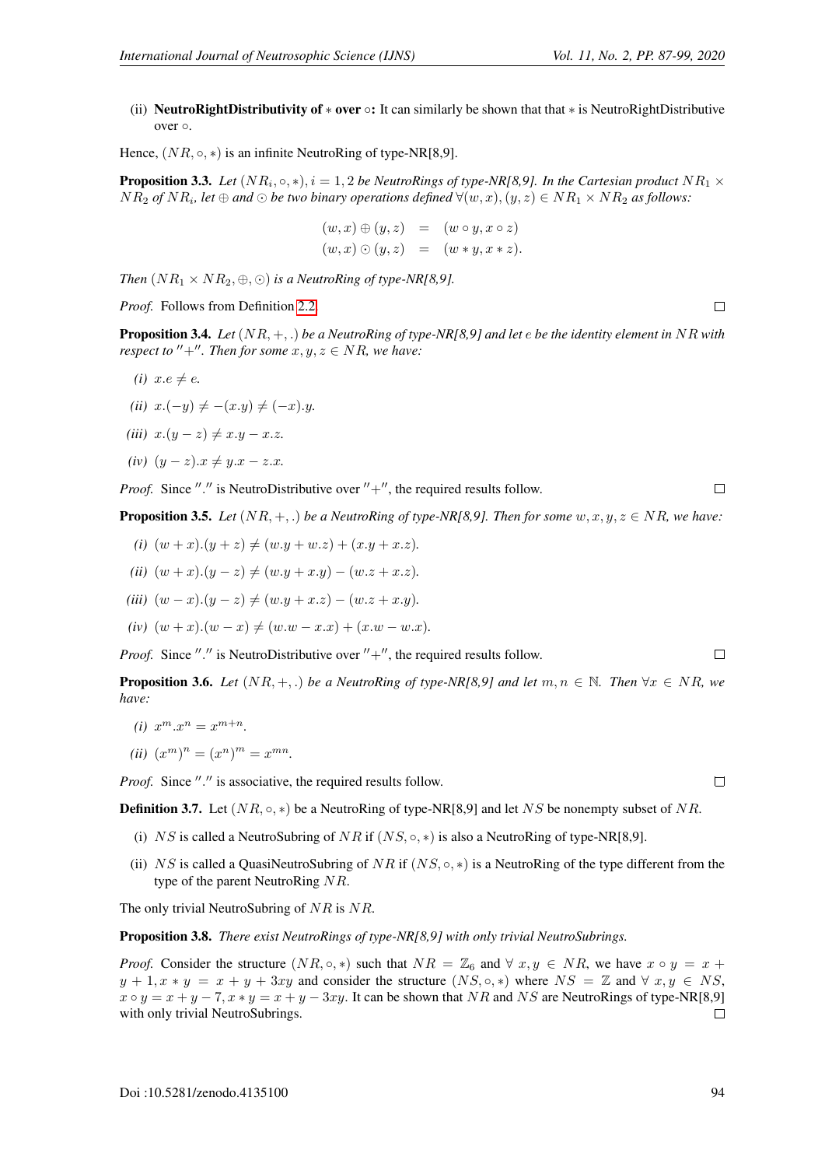(ii) NeutroRightDistributivity of  $*$  over  $\circ$ : It can similarly be shown that that  $*$  is NeutroRightDistributive over ◦.

Hence,  $(NR, \circ, *)$  is an infinite NeutroRing of type-NR[8,9].

**Proposition 3.3.** Let  $(NR_i, \circ, *)$ ,  $i = 1, 2$  be NeutroRings of type-NR[8,9]. In the Cartesian product  $NR_1 \times$  $NR_2$  of  $NR_i$ , let  $\oplus$  and  $\odot$  be two binary operations defined  $\forall (w, x), (y, z) \in NR_1 \times NR_2$  as follows:

$$
(w,x) \oplus (y,z) = (w \circ y, x \circ z)
$$
  

$$
(w,x) \odot (y,z) = (w * y, x * z).
$$

*Then*  $(NR_1 \times NR_2, \oplus, \odot)$  *is a NeutroRing of type-NR[8,9].* 

*Proof.* Follows from Definition [2.2.](#page-1-1)

Proposition 3.4. *Let* (NR, +, .) *be a NeutroRing of type-NR[8,9] and let* e *be the identity element in* NR *with respect to*  $'' +''$ *. Then for some*  $x, y, z \in NR$ *, we have:* 

- *(i)*  $x.e \neq e$ .
- *(ii)*  $x.(-y) \neq -(x. y) \neq (-x).y.$
- *(iii)*  $x.(y z) \neq x. y x. z.$
- *(iv)*  $(y z).x \neq y.x z.x.$

*Proof.* Since "." is NeutroDistributive over  $" +", the required results follow.$ 

**Proposition 3.5.** *Let*  $(NR, +, \cdot)$  *be a NeutroRing of type-NR[8,9]. Then for some*  $w, x, y, z \in NR$ *, we have:* 

- *(i)*  $(w+x)(y+z) \neq (w.y+w.z) + (x.y+x.z)$ .
- *(ii)*  $(w+x)(y-z) \neq (w,y+x,y) (w.z + x.z)$ .
- *(iii)*  $(w x) \cdot (y z) \neq (w \cdot y + x \cdot z) (w \cdot z + x \cdot y)$ .
- $(iv)$   $(w + x)$ . $(w x) \neq (w.w x.x) + (x.w w.x)$ .

*Proof.* Since "." is NeutroDistributive over  $" +", the required results follow.$ 

**Proposition 3.6.** *Let*  $(NR, +, \cdot)$  *be a NeutroRing of type-NR[8,9] and let*  $m, n \in \mathbb{N}$ . Then  $\forall x \in NR$ , we *have:*

- (*i*)  $x^m \cdot x^n = x^{m+n}$ .
- (*ii*)  $(x^m)^n = (x^n)^m = x^{mn}$ .

Proof. Since "." is associative, the required results follow.

**Definition 3.7.** Let  $(NR, \circ, *)$  be a NeutroRing of type-NR[8,9] and let NS be nonempty subset of NR.

- (i) NS is called a NeutroSubring of NR if  $(NS, \circ, \ast)$  is also a NeutroRing of type-NR[8,9].
- (ii) NS is called a QuasiNeutroSubring of NR if  $(NS, \circ, *)$  is a NeutroRing of the type different from the type of the parent NeutroRing NR.

The only trivial NeutroSubring of NR is NR.

Proposition 3.8. *There exist NeutroRings of type-NR[8,9] with only trivial NeutroSubrings.*

*Proof.* Consider the structure  $(NR, \circ, *)$  such that  $NR = \mathbb{Z}_6$  and  $\forall x, y \in NR$ , we have  $x \circ y = x +$  $y + 1, x * y = x + y + 3xy$  and consider the structure  $(N, \infty, *)$  where  $NS = \mathbb{Z}$  and  $\forall x, y \in NS$ ,  $x \circ y = x + y - 7$ ,  $x * y = x + y - 3xy$ . It can be shown that NR and NS are NeutroRings of type-NR[8,9] with only trivial NeutroSubrings.  $\Box$ 

 $\Box$ 

 $\Box$ 

 $\Box$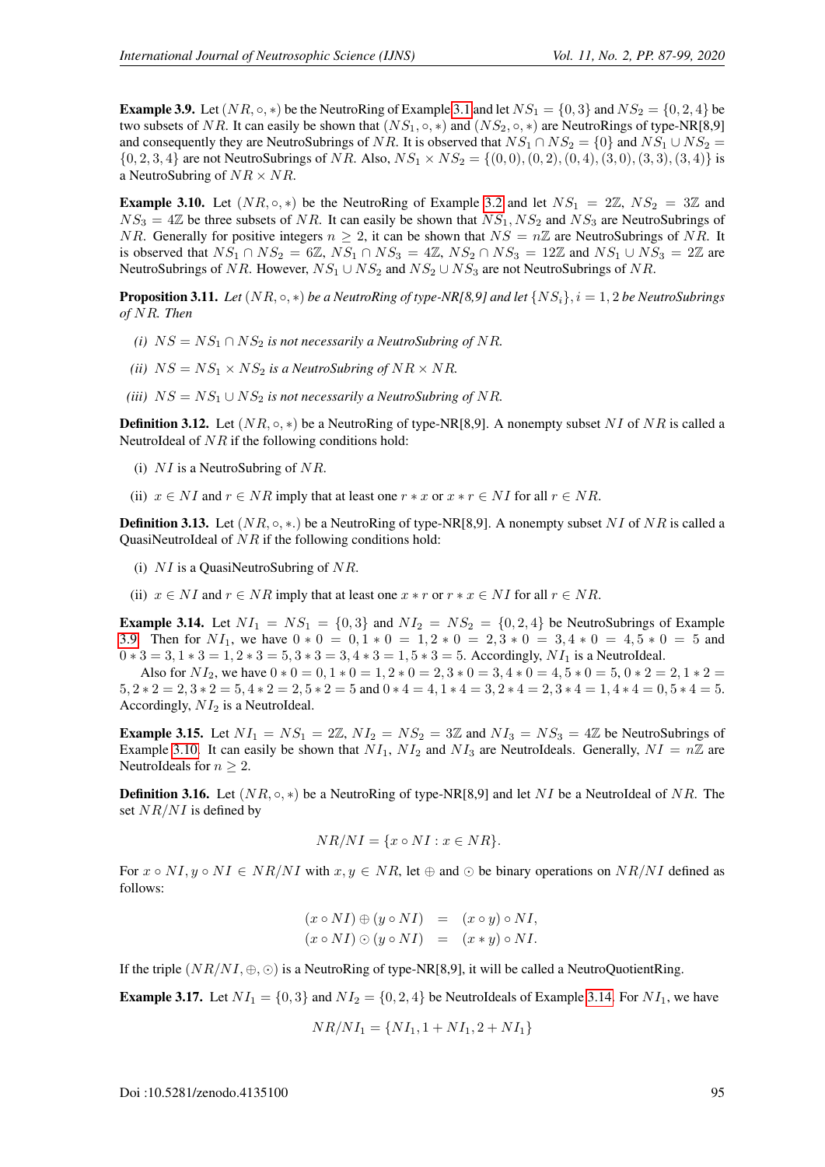<span id="page-8-0"></span>**Example 3.9.** Let  $(NR, \circ, *)$  be the NeutroRing of Example [3.1](#page-6-0) and let  $NS_1 = \{0, 3\}$  and  $NS_2 = \{0, 2, 4\}$  be two subsets of NR. It can easily be shown that  $(NS_1, \circ, *)$  and  $(NS_2, \circ, *)$  are NeutroRings of type-NR[8,9] and consequently they are NeutroSubrings of NR. It is observed that  $NS_1 \cap NS_2 = \{0\}$  and  $NS_1 \cup NS_2 =$  $\{0, 2, 3, 4\}$  are not NeutroSubrings of NR. Also,  $NS_1 \times NS_2 = \{(0, 0), (0, 2), (0, 4), (3, 0), (3, 3), (3, 4)\}$  is a NeutroSubring of  $NR \times NR$ .

<span id="page-8-1"></span>**Example 3.10.** Let  $(NR, \circ, *)$  be the NeutroRing of Example [3.2](#page-6-1) and let  $NS_1 = 2\mathbb{Z}$ ,  $NS_2 = 3\mathbb{Z}$  and  $NS_3 = 4\mathbb{Z}$  be three subsets of NR. It can easily be shown that  $NS_1, NS_2$  and  $NS_3$  are NeutroSubrings of NR. Generally for positive integers  $n \geq 2$ , it can be shown that  $NS = n\mathbb{Z}$  are NeutroSubrings of NR. It is observed that  $NS_1 \cap NS_2 = 6\mathbb{Z}$ ,  $NS_1 \cap NS_3 = 4\mathbb{Z}$ ,  $NS_2 \cap NS_3 = 12\mathbb{Z}$  and  $NS_1 \cup NS_3 = 2\mathbb{Z}$  are NeutroSubrings of NR. However,  $NS_1 \cup NS_2$  and  $NS_2 \cup NS_3$  are not NeutroSubrings of NR.

**Proposition 3.11.** *Let* ( $NR, \circ, *)$  *be a NeutroRing of type-NR[8,9] and let*  $\{NS_i\}, i = 1, 2$  *be NeutroSubrings of* NR*. Then*

- *(i)*  $NS = NS_1 \cap NS_2$  *is not necessarily a NeutroSubring of NR.*
- *(ii)*  $NS = NS_1 \times NS_2$  *is a NeutroSubring of NR*  $\times$  *NR.*
- *(iii)*  $NS = NS_1 \cup NS_2$  *is not necessarily a NeutroSubring of NR.*

**Definition 3.12.** Let  $(NR, \circ, *)$  be a NeutroRing of type-NR[8,9]. A nonempty subset NI of NR is called a NeutroIdeal of  $NR$  if the following conditions hold:

- (i)  $NI$  is a NeutroSubring of  $NR$ .
- (ii)  $x \in NI$  and  $r \in NR$  imply that at least one  $r * x$  or  $x * r \in NI$  for all  $r \in NR$ .

**Definition 3.13.** Let  $(NR, \circ, \ast)$  be a NeutroRing of type-NR[8,9]. A nonempty subset NI of NR is called a QuasiNeutroIdeal of  $NR$  if the following conditions hold:

- (i)  $NI$  is a QuasiNeutroSubring of  $NR$ .
- (ii)  $x \in NI$  and  $r \in NR$  imply that at least one  $x * r$  or  $r * x \in NI$  for all  $r \in NR$ .

<span id="page-8-2"></span>**Example 3.14.** Let  $NI_1 = NS_1 = \{0, 3\}$  and  $NI_2 = NS_2 = \{0, 2, 4\}$  be NeutroSubrings of Example [3.9.](#page-8-0) Then for  $NI_1$ , we have  $0 * 0 = 0, 1 * 0 = 1, 2 * 0 = 2, 3 * 0 = 3, 4 * 0 = 4, 5 * 0 = 5$  and  $0 * 3 = 3, 1 * 3 = 1, 2 * 3 = 5, 3 * 3 = 3, 4 * 3 = 1, 5 * 3 = 5$ . Accordingly,  $NI_1$  is a NeutroIdeal.

Also for  $NI_2$ , we have  $0 * 0 = 0, 1 * 0 = 1, 2 * 0 = 2, 3 * 0 = 3, 4 * 0 = 4, 5 * 0 = 5, 0 * 2 = 2, 1 * 2 =$  $5, 2 * 2 = 2, 3 * 2 = 5, 4 * 2 = 2, 5 * 2 = 5$  and  $0 * 4 = 4, 1 * 4 = 3, 2 * 4 = 2, 3 * 4 = 1, 4 * 4 = 0, 5 * 4 = 5.$ Accordingly,  $NI_2$  is a NeutroIdeal.

<span id="page-8-4"></span>**Example 3.15.** Let  $NI_1 = NS_1 = 2\mathbb{Z}$ ,  $NI_2 = NS_2 = 3\mathbb{Z}$  and  $NI_3 = NS_3 = 4\mathbb{Z}$  be NeutroSubrings of Example [3.10.](#page-8-1) It can easily be shown that  $NI_1$ ,  $NI_2$  and  $NI_3$  are NeutroIdeals. Generally,  $NI = n\mathbb{Z}$  are NeutroIdeals for  $n > 2$ .

<span id="page-8-3"></span>**Definition 3.16.** Let  $(NR, \circ, *)$  be a NeutroRing of type-NR[8,9] and let NI be a NeutroIdeal of NR. The set  $NR/NI$  is defined by

$$
NR/NI = \{x \circ NI : x \in NR\}.
$$

For  $x \circ NI, y \circ NI \in NR/NI$  with  $x, y \in NR$ , let  $\oplus$  and  $\odot$  be binary operations on  $NR/NI$  defined as follows:

$$
(x \circ NI) \oplus (y \circ NI) = (x \circ y) \circ NI,
$$
  

$$
(x \circ NI) \odot (y \circ NI) = (x * y) \circ NI.
$$

If the triple  $(NR/NI, \oplus, \odot)$  is a NeutroRing of type-NR[8,9], it will be called a NeutroQuotientRing.

<span id="page-8-5"></span>**Example 3.17.** Let  $NI_1 = \{0, 3\}$  and  $NI_2 = \{0, 2, 4\}$  be NeutroIdeals of Example [3.14.](#page-8-2) For  $NI_1$ , we have

$$
NR/NI_1 = \{NI_1, 1 + NI_1, 2 + NI_1\}
$$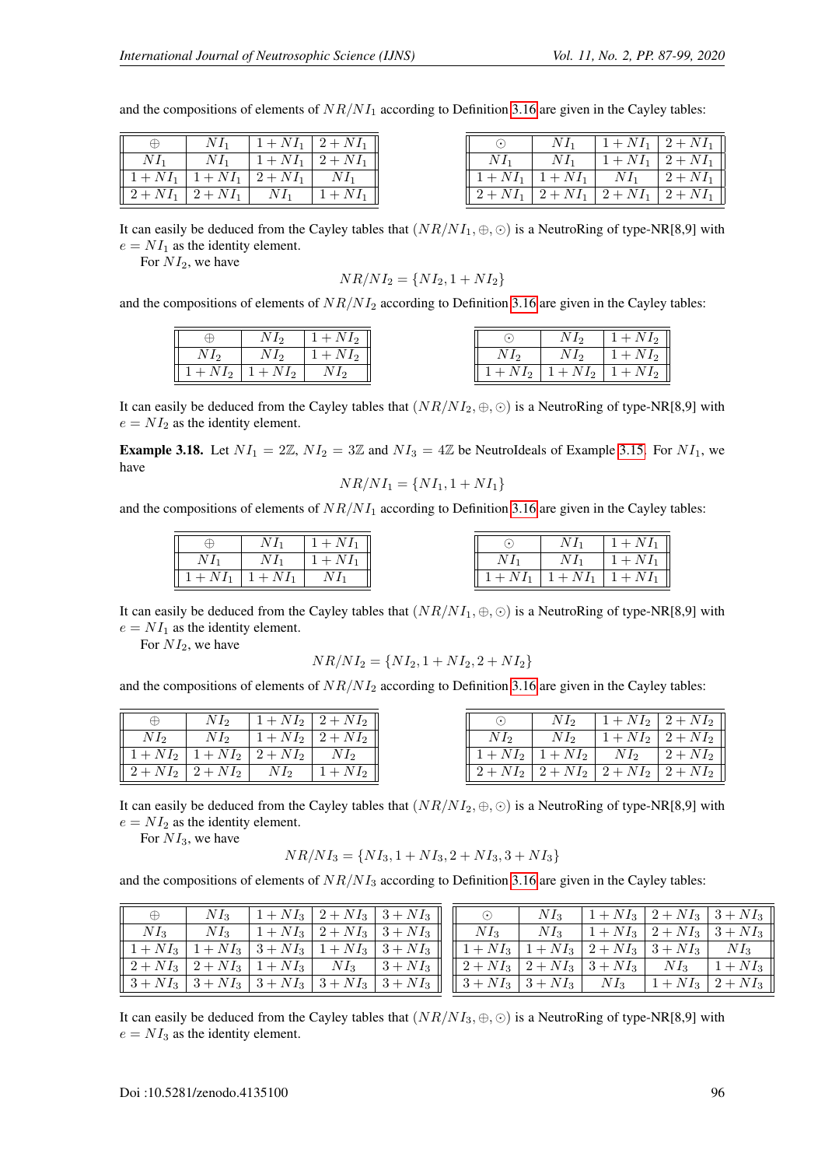$2 + NI_1$  $2 + NI_1$  $\overline{2 + NI_1}$  $\overline{2 + NI}$ 

and the compositions of elements of  $NR/NI_1$  according to Definition [3.16](#page-8-3) are given in the Cayley tables:

| Æ                                     | $NI_1$ | $1 + NI_1$   $2 + \overline{NI_1}$ |                                     | $NI_1$                        | $1 + NI_1$ |
|---------------------------------------|--------|------------------------------------|-------------------------------------|-------------------------------|------------|
| $NI_1$                                | $NI_1$ | $1 + NI_1$   2 + $NI_1$            | $NI_1$                              | $NI_1$                        | $1 + NI_1$ |
| $   1 + NI_1   1 + NI_1   2 + NI_1  $ |        |                                    |                                     | $1 + NI_1 \mid 1 + NI_1 \mid$ | $NI_1$     |
| $   2 + NI_1   2 + NI_1   NI_1$       |        | $1 + NI_1$                         | $   2 + NI_1   2 + NI_1   2 + NI_1$ |                               |            |

It can easily be deduced from the Cayley tables that  $(NR/NI_1, \oplus, \odot)$  is a NeutroRing of type-NR[8,9] with  $e = NI<sub>1</sub>$  as the identity element.

For  $NI_2$ , we have

$$
NR/NI_2 = \{NI_2, 1 + NI_2\}
$$

and the compositions of elements of  $NR/NI_2$  according to Definition [3.16](#page-8-3) are given in the Cayley tables:

|                         |        | $1 + NI_2$ |  | N12                                  | $1 + NI_2$ |
|-------------------------|--------|------------|--|--------------------------------------|------------|
| $NI_2$                  | $NI_2$ | $+NI_2$    |  | $NI_2$                               | $1 + NI_2$ |
| $1 + NI_2$   $1 + NI_2$ |        |            |  | $1 + NI_2$   $1 + NI_2$   $1 + NI_2$ |            |

It can easily be deduced from the Cayley tables that  $(NR/NI_2, \oplus, \odot)$  is a NeutroRing of type-NR[8,9] with  $e = NI<sub>2</sub>$  as the identity element.

<span id="page-9-0"></span>**Example 3.18.** Let  $NI_1 = 2\mathbb{Z}$ ,  $NI_2 = 3\mathbb{Z}$  and  $NI_3 = 4\mathbb{Z}$  be NeutroIdeals of Example [3.15.](#page-8-4) For  $NI_1$ , we have

$$
NR/NI_1 = \{NI_1, 1 + NI_1\}
$$

and the compositions of elements of  $NR/NI_1$  according to Definition [3.16](#page-8-3) are given in the Cayley tables:

|        | $NI_1$                        | $1 + NI_1$ |  | $NI_1$                                 | $1 + NI_1$               |
|--------|-------------------------------|------------|--|----------------------------------------|--------------------------|
| $NI_1$ | $NI_1$                        | $1 + NI_1$ |  | $NI_1$                                 | $1 + NI_1$               |
|        | $1 + NI_1 \mid 1 + NI_1 \mid$ | $NI_1$     |  | $1 + NI_1 \mid 1 + NI_1 \mid 1 + NI_1$ | $\overline{\phantom{a}}$ |

It can easily be deduced from the Cayley tables that  $(NR/NI_1, \oplus, \odot)$  is a NeutroRing of type-NR[8,9] with  $e = NI_1$  as the identity element.

For  $NI_2$ , we have

$$
NR/NI_2 = \{NI_2, 1 + NI_2, 2 + NI_2\}
$$

and the compositions of elements of  $NR/NI_2$  according to Definition [3.16](#page-8-3) are given in the Cayley tables:

| $\oplus$ |                                                                                        | $NI_2$   $1 + NI_2$   $2 + NI_2$                                              |        |                                              | $NI_2$   $1 + NI_2$   $2 + NI_2$ |  |
|----------|----------------------------------------------------------------------------------------|-------------------------------------------------------------------------------|--------|----------------------------------------------|----------------------------------|--|
| $NI_2$   | $\mid N I_2 \mid 1 + N I_2 \mid 2 + N I_2 \mid$                                        |                                                                               | $NI_2$ |                                              | $NI_2$   $1 + NI_2$   $2 + NI_2$ |  |
|          | $\left[ \left[ 1 + NI_{2} \right] 1 + NI_{2} \right] 2 + NI_{2} \left[ NI_{2} \right]$ |                                                                               |        | $   1 + NI_2   1 + NI_2   NI_2   2 + NI_2  $ |                                  |  |
|          |                                                                                        | $\parallel 2+NI_2 \parallel 2+NI_2 \parallel NI_2 \parallel 1+NI_2 \parallel$ |        | $  2 + NI_2  2 + NI_2  2 + NI_2  2 + NI_2  $ |                                  |  |

It can easily be deduced from the Cayley tables that  $(NR/NI_2, \oplus, \odot)$  is a NeutroRing of type-NR[8,9] with  $e = NI<sub>2</sub>$  as the identity element.

For  $NI_3$ , we have

$$
NR/NI_3 = \{NI_3, 1 + NI_3, 2 + NI_3, 3 + NI_3\}
$$

and the compositions of elements of  $NR/NI_3$  according to Definition [3.16](#page-8-3) are given in the Cayley tables:

| $\oplus$                                                                                                                                                                                                                                                                                                                                                                                                                                                                                        | $NI_3$ |  | $\mid 1 + NI_3 \mid 2 + NI_3 \mid 3 + NI_3 \mid \mid$                                                               | $\odot$ $\odot$ |  | $NI_3$   $1 + NI_3$   $2 + NI_3$   $3 + NI_3$ |  |
|-------------------------------------------------------------------------------------------------------------------------------------------------------------------------------------------------------------------------------------------------------------------------------------------------------------------------------------------------------------------------------------------------------------------------------------------------------------------------------------------------|--------|--|---------------------------------------------------------------------------------------------------------------------|-----------------|--|-----------------------------------------------|--|
|                                                                                                                                                                                                                                                                                                                                                                                                                                                                                                 |        |  | $N I_3$ $N I_3$ $1 + N I_3$ $2 + N I_3$ $3 + N I_3$ $\parallel$ $N I_3$ $N I_3$ $1 + N I_3$ $2 + N I_3$ $3 + N I_3$ |                 |  |                                               |  |
| $\  1 + NI_3   1 + NI_3   3 + NI_3   1 + NI_3   3 + NI_3 \  \  1 + NI_3   1 + NI_3   2 + NI_3   3 + NI_3   N I_3$                                                                                                                                                                                                                                                                                                                                                                               |        |  |                                                                                                                     |                 |  |                                               |  |
| $  2 + NI_3  2 + NI_3  1 + NI_3  NI_3  3 + NI_3  2 + NI_3  2 + NI_3 3 + NI_3  NI_3  1 + NI_3$                                                                                                                                                                                                                                                                                                                                                                                                   |        |  |                                                                                                                     |                 |  |                                               |  |
| $\parallel 3+NI_3 \parallel 3+NI_3 \parallel 3+NI_3 \parallel 3+NI_3 \parallel 3+NI_3 \parallel \parallel 3+NI_3 \parallel 3+NI_3 \parallel \; \overline{N}I_3 \parallel 1+NI_3 \parallel 2+NI_3 \parallel 3+NI_3 \parallel 3+NI_3 \parallel 3+NI_3 \parallel 3+NI_3 \parallel 3+NI_3 \parallel 3+NI_3 \parallel 3+NI_3 \parallel 3+NI_3 \parallel 3+NI_3 \parallel 3+NI_3 \parallel 3+NI_3 \parallel 3+NI_3 \parallel 3+NI_3 \parallel 3+NI_3 \parallel 3+NI_3 \parallel 3+NI_3 \parallel 3+N$ |        |  |                                                                                                                     |                 |  |                                               |  |

It can easily be deduced from the Cayley tables that  $(NR/NI_3, \oplus, \odot)$  is a NeutroRing of type-NR[8,9] with  $e = NI_3$  as the identity element.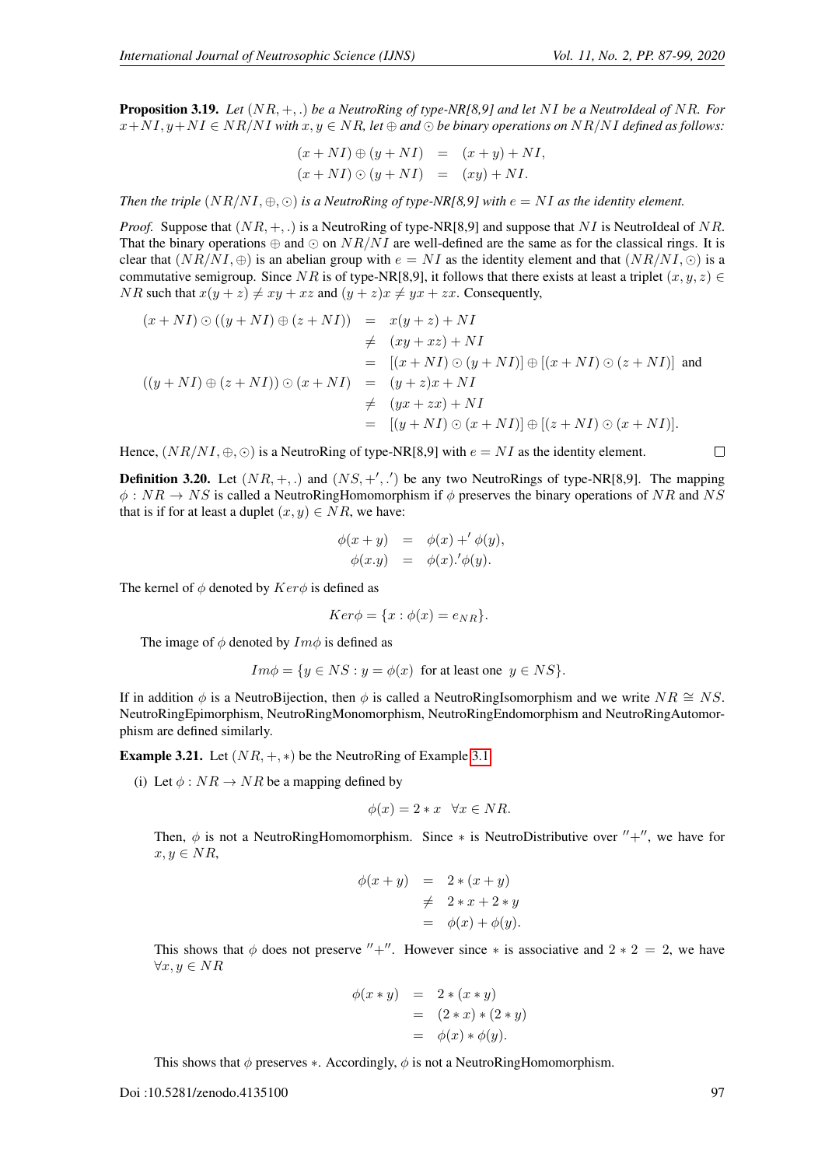Proposition 3.19. *Let* (NR, +, .) *be a NeutroRing of type-NR[8,9] and let* NI *be a NeutroIdeal of* NR*. For*  $x + NI$ ,  $y + NI \in NR/NI$  with  $x, y \in NR$ , let  $\oplus$  and  $\odot$  be binary operations on NR/NI defined as follows:

$$
(x + NI) \oplus (y + NI) = (x + y) + NI,
$$
  
\n
$$
(x + NI) \odot (y + NI) = (xy) + NI.
$$

*Then the triple*  $(NR/NI, \oplus, \odot)$  *is a NeutroRing of type-NR[8,9] with*  $e = NI$  *as the identity element.* 

*Proof.* Suppose that  $(NR, +, .)$  is a NeutroRing of type-NR[8,9] and suppose that NI is NeutroIdeal of NR. That the binary operations  $\oplus$  and  $\odot$  on  $NR/NI$  are well-defined are the same as for the classical rings. It is clear that  $(NR/NI, \oplus)$  is an abelian group with  $e = NI$  as the identity element and that  $(NR/NI, \odot)$  is a commutative semigroup. Since NR is of type-NR[8,9], it follows that there exists at least a triplet  $(x, y, z) \in$ *NR* such that  $x(y + z) \neq xy + xz$  and  $(y + z)x \neq yx + zx$ . Consequently,

$$
(x + NI) \odot ((y + NI) \oplus (z + NI)) = x(y + z) + NI
$$
  
\n
$$
\neq (xy + xz) + NI
$$
  
\n
$$
= [(x + NI) \odot (y + NI)] \oplus [(x + NI) \odot (z + NI)]
$$
 and  
\n
$$
((y + NI) \oplus (z + NI)) \odot (x + NI) = (y + z)x + NI
$$
  
\n
$$
\neq (yx + zx) + NI
$$
  
\n
$$
= [(y + NI) \odot (x + NI)] \oplus [(z + NI) \odot (x + NI)].
$$

Hence,  $(NR/NI, \oplus, \odot)$  is a NeutroRing of type-NR[8,9] with  $e = NI$  as the identity element.

**Definition 3.20.** Let  $(NR, +, .)$  and  $(NS, +', .')$  be any two NeutroRings of type-NR[8,9]. The mapping  $\phi: NR \to NS$  is called a NeutroRingHomomorphism if  $\phi$  preserves the binary operations of NR and NS that is if for at least a duplet  $(x, y) \in NR$ , we have:

$$
\begin{array}{rcl}\n\phi(x+y) & = & \phi(x) +' \phi(y), \\
\phi(x,y) & = & \phi(x) \cdot \phi(y).\n\end{array}
$$

The kernel of  $\phi$  denoted by  $Ker\phi$  is defined as

$$
Ker \phi = \{x : \phi(x) = e_{NR}\}.
$$

The image of  $\phi$  denoted by  $Im \phi$  is defined as

$$
Im\phi = \{y \in NS : y = \phi(x) \text{ for at least one } y \in NS\}.
$$

If in addition  $\phi$  is a NeutroBijection, then  $\phi$  is called a NeutroRingIsomorphism and we write  $NR \cong NS$ . NeutroRingEpimorphism, NeutroRingMonomorphism, NeutroRingEndomorphism and NeutroRingAutomorphism are defined similarly.

**Example 3.21.** Let  $(NR, +, *)$  be the NeutroRing of Example [3.1.](#page-6-0)

(i) Let  $\phi: NR \rightarrow NR$  be a mapping defined by

$$
\phi(x) = 2 * x \quad \forall x \in NR.
$$

Then,  $\phi$  is not a NeutroRingHomomorphism. Since \* is NeutroDistributive over  $'' +''$ , we have for  $x, y \in NR$ ,

$$
\begin{array}{rcl}\n\phi(x+y) & = & 2 \ast (x+y) \\
& \neq & 2 \ast x + 2 \ast y \\
& = & \phi(x) + \phi(y).\n\end{array}
$$

This shows that  $\phi$  does not preserve "+". However since  $*$  is associative and  $2 * 2 = 2$ , we have  $\forall x, y \in NR$ 

$$
\begin{array}{rcl} \phi(x * y) & = & 2 * (x * y) \\ & = & (2 * x) * (2 * y) \\ & = & \phi(x) * \phi(y). \end{array}
$$

This shows that  $\phi$  preserves  $\ast$ . Accordingly,  $\phi$  is not a NeutroRingHomomorphism.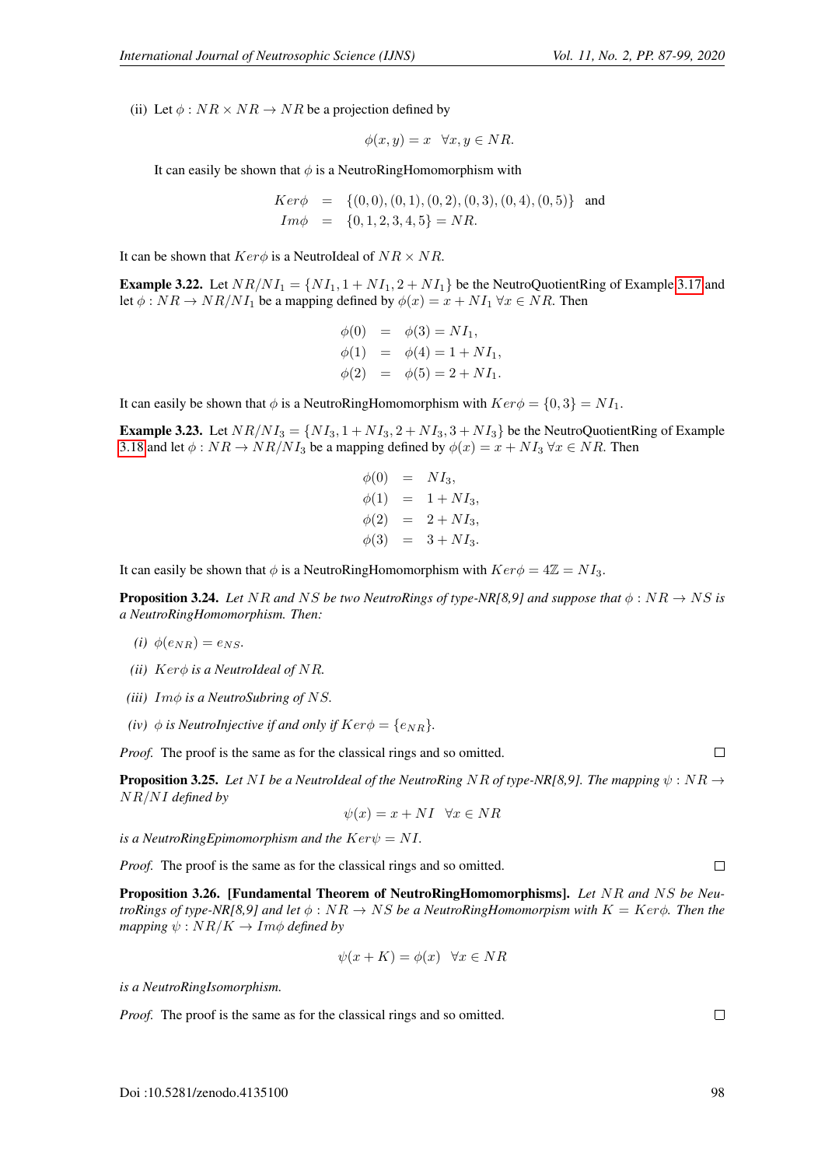(ii) Let  $\phi$ :  $NR \times NR \rightarrow NR$  be a projection defined by

$$
\phi(x, y) = x \quad \forall x, y \in NR.
$$

It can easily be shown that  $\phi$  is a NeutroRingHomomorphism with

 $Ker\phi = \{(0, 0), (0, 1), (0, 2), (0, 3), (0, 4), (0, 5)\}$  and  $Im \phi = \{0, 1, 2, 3, 4, 5\} = NR.$ 

It can be shown that  $Ker\phi$  is a NeutroIdeal of  $NR \times NR$ .

**Example 3.22.** Let  $NR/NI_1 = \{NI_1, 1 + NI_1, 2 + NI_1\}$  be the NeutroQuotientRing of Example [3.17](#page-8-5) and let  $\phi : NR \rightarrow NR/NI_1$  be a mapping defined by  $\phi(x) = x + NI_1 \,\forall x \in NR$ . Then

$$
\begin{aligned}\n\phi(0) &= \phi(3) = NI_1, \\
\phi(1) &= \phi(4) = 1 + NI_1, \\
\phi(2) &= \phi(5) = 2 + NI_1.\n\end{aligned}
$$

It can easily be shown that  $\phi$  is a NeutroRingHomomorphism with  $Ker\phi = \{0, 3\} = NI_1$ .

**Example 3.23.** Let  $NR/NI_3 = \{NI_3, 1 + NI_3, 2 + NI_3, 3 + NI_3\}$  be the NeutroQuotientRing of Example [3.18](#page-9-0) and let  $\phi: NR \to NR/NI_3$  be a mapping defined by  $\phi(x) = x + NI_3$   $\forall x \in NR$ . Then

$$
\begin{aligned}\n\phi(0) &= N I_3, \\
\phi(1) &= 1 + N I_3, \\
\phi(2) &= 2 + N I_3, \\
\phi(3) &= 3 + N I_3.\n\end{aligned}
$$

It can easily be shown that  $\phi$  is a NeutroRingHomomorphism with  $Ker\phi = 4\mathbb{Z} = NI_3$ .

**Proposition 3.24.** *Let* NR *and* NS *be two NeutroRings of type-NR[8,9] and suppose that*  $\phi$  : NR  $\rightarrow$  NS *is a NeutroRingHomomorphism. Then:*

- *(i)*  $\phi(e_{NR}) = e_{NS}$ .
- *(ii)* Kerφ *is a NeutroIdeal of* NR*.*
- *(iii)* Imφ *is a NeutroSubring of* NS*.*
- *(iv)*  $\phi$  *is NeutroInjective if and only if*  $Ker\phi = \{e_{NR}\}.$

*Proof.* The proof is the same as for the classical rings and so omitted.

**Proposition 3.25.** Let NI be a NeutroIdeal of the NeutroRing NR of type-NR[8,9]. The mapping  $\psi : NR \rightarrow$ NR/NI *defined by*

$$
\psi(x) = x + NI \quad \forall x \in NR
$$

*is a NeutroRingEpimomorphism and the*  $Ker\psi = NI$ .

*Proof.* The proof is the same as for the classical rings and so omitted.

Proposition 3.26. [Fundamental Theorem of NeutroRingHomomorphisms]. *Let* NR *and* NS *be NeutroRings of type-NR[8,9] and let*  $\phi$  :  $NR \rightarrow NS$  *be a NeutroRingHomomorpism with*  $K = Ker \phi$ *. Then the mapping*  $\psi$  :  $NR/K \rightarrow Im\phi$  *defined by* 

$$
\psi(x+K) = \phi(x) \quad \forall x \in NR
$$

*is a NeutroRingIsomorphism.*

*Proof.* The proof is the same as for the classical rings and so omitted.

Doi :10.5281/zenodo.4135100 98

 $\Box$ 

 $\Box$